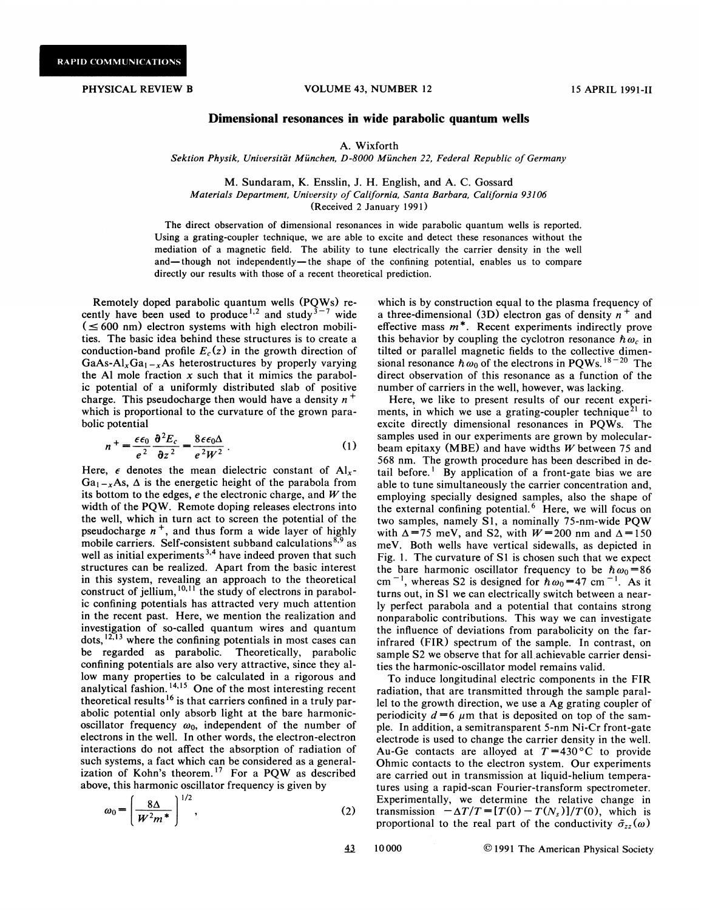## PHYSICAL REVIEW B VOLUME 43, NUMBER 12 15 APRIL 1991-II

## Dimensional resonances in wide parabolic quantum wells

A. Wixforth

Sektion Physik, Universität München, D-8000 München 22, Federal Republic of Germany

M. Sundaram, K. Ensslin, J. H. English, and A. C. Gossard Materials Department, University of California, Santa Barbara, California 93106

(Received 2 January 1991)

The direct observation of dimensional resonances in wide parabolic quantum wells is reported. Using a grating-coupler technique, we are able to excite and detect these resonances without the mediation of a magnetic field. The ability to tune electrically the carrier density in the well and—though not independently—the shape of the confining potential, enables us to compare directly our results with those of a recent theoretical prediction.

Remotely doped parabolic quantum wells (PQWs) recently have been used to produce<sup>1,2</sup> and study<sup>3-7</sup> wide  $( $\leq 600$  nm) electron systems with high electron mobili$ ties. The basic idea behind these structures is to create a conduction-band profile  $E_c(z)$  in the growth direction of GaAs-Al<sub>x</sub>Ga<sub>1 – x</sub>As heterostructures by properly varying the Al mole fraction  $x$  such that it mimics the parabolic potential of a uniformly distributed slab of positive charge. This pseudocharge then would have a density  $n^+$ which is proportional to the curvature of the grown parabolic potential

$$
n^+ = \frac{\epsilon \epsilon_0}{e^2} \frac{\partial^2 E_c}{\partial z^2} = \frac{8 \epsilon \epsilon_0 \Delta}{e^2 W^2} \,. \tag{1}
$$

Here,  $\epsilon$  denotes the mean dielectric constant of Al<sub>1</sub>- $Ga_{1-x}As$ ,  $\Delta$  is the energetic height of the parabola from its bottom to the edges,  $e$  the electronic charge, and  $W$  the width of the PQW. Remote doping releases electrons into the well, which in turn act to screen the potential of the pseudocharge  $n^+$ , and thus form a wide layer of highly mobile carriers. Self-consistent subband calculations  $8\frac{1}{2}$  as well as initial experiments<sup>3,4</sup> have indeed proven that such structures can be realized. Apart from the basic interest in this system, revealing an approach to the theoretical structures can be realized. Apart from the basic interest<br>in this system, revealing an approach to the theoretica<br>construct of jellium, <sup>10,11</sup> the study of electrons in parabolic confining potentials has attracted very much attention in the recent past. Here, we mention the realization and investigation of so-called quantum wires and quantum investigation of so-called quantum wires and quantum<br>dots, <sup>12,13</sup> where the confining potentials in most cases can be regarded as parabolic. Theoretically, parabolic confining potentials are also very attractive, since they allow many properties to be calculated in a rigorous and<br>analytical fashion.<sup>14,15</sup> One of the most interesting recent theoretical results<sup>16</sup> is that carriers confined in a truly parabolic potential only absorb light at the bare harmonicoscillator frequency  $\omega_0$ , independent of the number of electrons in the well. In other words, the electron-electron interactions do not affect the absorption of radiation of such systems, a fact which can be considered as a generalization of Kohn's theorem.<sup>17</sup> For a PQW as described above, this harmonic oscillator frequency is given by

$$
\omega_0 = \left(\frac{8\Delta}{W^2 m^*}\right)^{1/2},\tag{2}
$$

which is by construction equal to the plasma frequency of a three-dimensional (3D) electron gas of density  $n^+$  and effective mass  $m^*$ . Recent experiments indirectly prove this behavior by coupling the cyclotron resonance  $\hbar \omega_c$  in tilted or parallel magnetic fields to the collective dimensional resonance  $\hbar \omega_0$  of the electrons in PQWs. <sup>18-20</sup> The direct observation of this resonance as a function of the number of carriers in the well, however, was lacking.

Here, we like to present results of our recent experiments, in which we use a grating-coupler technique<sup>21</sup> to excite directly dimensional resonances in PQWs. The samples used in our experiments are grown by molecularbeam epitaxy (MBE) and have widths  $W$  between 75 and 568 nm. The growth procedure has been described in deail before.<sup>1</sup> By application of a front-gate bias we are able to tune simultaneously the carrier concentration and, employing specially designed samples, also the shape of the external confining potential.<sup>6</sup> Here, we will focus on two samples, namely SI, a nominally 75-nm-wide PQW with  $\Delta$ =75 meV, and S2, with  $W$ =200 nm and  $\Delta$ =150 meV. Both wells have vertical sidewalls, as depicted in Fig. 1. The curvature of S1 is chosen such that we expect the bare harmonic oscillator frequency to be  $\hbar \omega_0 = 86$ cm<sup>-1</sup>, whereas S2 is designed for  $\hbar \omega_0$ =47 cm<sup>-1</sup>. As it turns out, in Sl we can electrically switch between a nearly perfect parabola and a potential that contains strong nonparabolic contributions. This way we can investigate the influence of deviations from parabolicity on the farinfrared (FIR) spectrum of the sample. In contrast, on sample S2 we observe that for all achievable carrier densities the harmonic-oscillator model remains valid.

To induce longitudinal electric components in the FIR radiation, that are transmitted through the sample parallel to the growth direction, we use a Ag grating coupler of periodicity  $d = 6$   $\mu$ m that is deposited on top of the sample. In addition, a semitransparent 5-nm Ni-Cr front-gate electrode is used to change the carrier density in the well. Au-Ge contacts are alloyed at  $T = 430\degree\text{C}$  to provide Ohmic contacts to the electron system. Our experiments are carried out in transmission at liquid-helium temperatures using a rapid-scan Fourier-transform spectrometer. Experimentally, we determine the relative change in transmission  $-\Delta T/T = [T(0) - T(N_s)]/T(0)$ , which is proportional to the real part of the conductivity  $\tilde{\sigma}_{zz}(\omega)$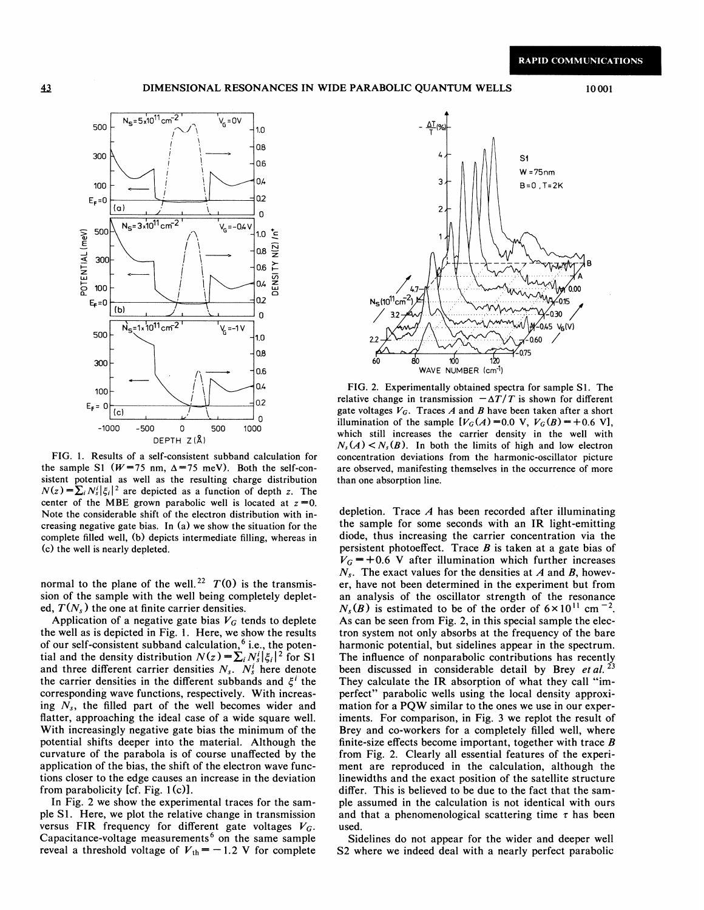RAPID COMMUNICATIONS



FIG. 1. Results of a self-consistent subband calculation for the sample S1 ( $W=75$  nm,  $\Delta=75$  meV). Both the self-consistent potential as well as the resulting charge distribution  $N(z) = \sum_{i} N_{i}^{i} |\xi_{i}|^{2}$  are depicted as a function of depth z. The center of the MBE grown parabolic well is located at  $z = 0$ . Note the considerable shift of the electron distribution with increasing negative gate bias. In (a) we show the situation for the complete filled well, (b) depicts intermediate filling, whereas in (c) the well is nearly depleted.

normal to the plane of the well.<sup>22</sup>  $T(0)$  is the transmission of the sample with the well being completely depleted,  $T(N_s)$  the one at finite carrier densities.

Application of a negative gate bias  $V_G$  tends to deplete the well as is depicted in Fig. l. Here, we show the results of our self-consistent subband calculation, <sup>6</sup> i.e., the potential and the density distribution  $N(z) = \sum_i N_s^i |\xi_i|^2$  for S1 and three different carrier densities  $N_s$ .  $N_s^i$  here denote the carrier densities in the different subbands and  $\xi^{i}$  the corresponding wave functions, respectively. With increasing  $N_s$ , the filled part of the well becomes wider and flatter, approaching the ideal case of a wide square well. With increasingly negative gate bias the minimum of the potential shifts deeper into the material. Although the curvature of the parabola is of course unaffected by the application of the bias, the shift of the electron wave functions closer to the edge causes an increase in the deviation from parabolicity  $[cf. Fig. 1(c)].$ 

In Fig. 2 we show the experimental traces for the sample Sl. Here, we plot the relative change in transmission versus FIR frequency for different gate voltages  $V_G$ . Capacitance-voltage measurements<sup>6</sup> on the same sample reveal a threshold voltage of  $V_{\text{th}} = -1.2$  V for complete



FIG. 2. Experimentally obtained spectra for sample S1. The relative change in transmission  $-\Delta T/T$  is shown for different gate voltages  $V_G$ . Traces A and B have been taken after a short illumination of the sample  $[V_G(A) = 0.0 \text{ V}, V_G(B) = +0.6 \text{ V}]$ , which still increases the carrier density in the well with  $N_s(A) < N_s(B)$ . In both the limits of high and low electron concentration deviations from the harmonic-oscillator picture are observed, manifesting themselves in the occurrence of more than one absorption line.

depletion. Trace A has been recorded after illuminating the sample for some seconds with an IR light-emitting diode, thus increasing the carrier concentration via the persistent photoeffect. Trace  $B$  is taken at a gate bias of  $V_G$  = +0.6 V after illumination which further increases  $N_s$ . The exact values for the densities at A and B, however, have not been determined in the experiment but from an analysis of the oscillator strength of the resonance  $N_s(B)$  is estimated to be of the order of  $6 \times 10^{11}$  cm<sup>-2</sup>. As can be seen from Fig. 2, in this special sample the electron system not only absorbs at the frequency of the bare harmonic potential, but sidelines appear in the spectrum. The influence of nonparabolic contributions has recently been discussed in considerable detail by Brey et al.<sup>2</sup> They calculate the IR absorption of what they call "imperfect" parabolic wells using the local density approximation for a PQW similar to the ones we use in our experiments. For comparison, in Fig. 3 we replot the result of Brey and co-workers for a completely filled well, where finite-size effects become important, together with trace  $B$ from Fig. 2. Clearly all essential features of the experiment are reproduced in the calculation, although the linewidths and the exact position of the satellite structure differ. This is believed to be due to the fact that the sample assumed in the calculation is not identical with ours and that a phenomenological scattering time  $\tau$  has been used.

Sidelines do not appear for the wider and deeper well S2 where we indeed deal with a nearly perfect parabolic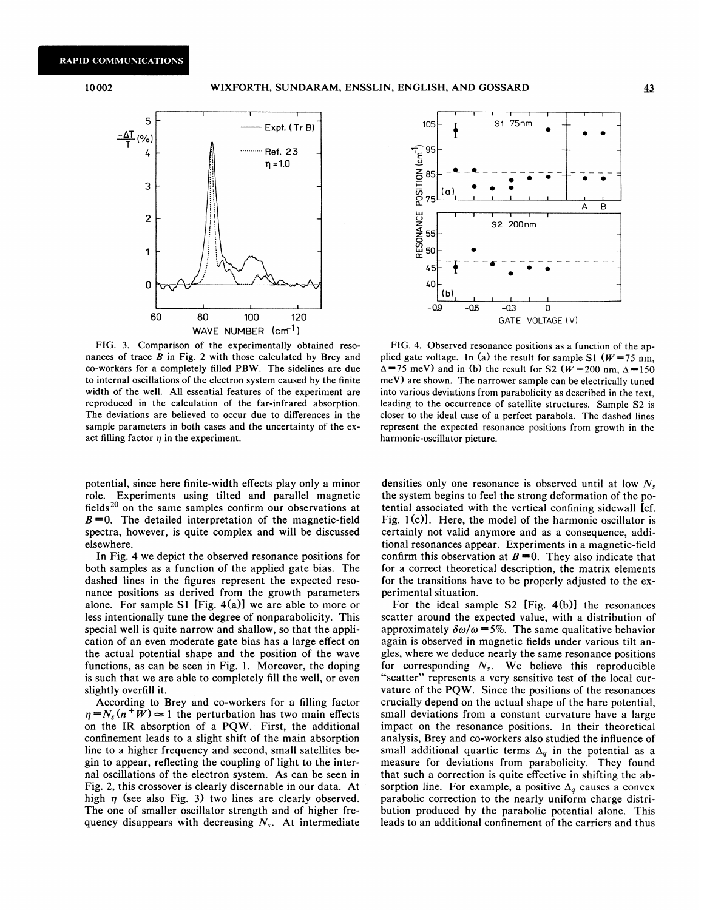

FIG. 3. Comparison of the experimentally obtained resonances of trace  $B$  in Fig. 2 with those calculated by Brey and co-workers for a completely filled PB%. The sidelines are due to internal oscillations of the electron system caused by the finite width of the well. All essential features of the experiment are reproduced in the calculation of the far-infrared absorption. The deviations are believed to occur due to differences in the sample parameters in both cases and the uncertainty of the exact filling factor  $\eta$  in the experiment.

potential, since here finite-width effects play only a minor role. Experiments using tilted and parallel magnetic fields<sup>20</sup> on the same samples confirm our observations at  $B=0$ . The detailed interpretation of the magnetic-field spectra, however, is quite complex and will be discussed elsewhere.

In Fig. 4 we depict the observed resonance positions for both samples as a function of the applied gate bias. The dashed lines in the figures represent the expected resonance positions as derived from the growth parameters alone. For sample S1 [Fig.  $4(a)$ ] we are able to more or less intentionally tune the degree of nonparabolicity. This special well is quite narrow and shallow, so that the application of an even moderate gate bias has a large effect on the actual potential shape and the position of the wave functions, as can be seen in Fig. 1. Moreover, the doping is such that we are able to completely fill the well, or even slightly overfill it.

According to Brey and co-workers for a filling factor  $\eta = N_s (n + \bar{W}) \approx 1$  the perturbation has two main effects on the IR absorption of a PQW. First, the additional confinement leads to a slight shift of the main absorption line to a higher frequency and second, small satellites begin to appear, reflecting the coupling of light to the internal oscillations of the electron system. As can be seen in Fig. 2, this crossover is clearly discernable in our data. At high  $\eta$  (see also Fig. 3) two lines are clearly observed. The one of smaller oscillator strength and of higher frequency disappears with decreasing  $N<sub>s</sub>$ . At intermediate



FIG. 4. Observed resonance positions as a function of the applied gate voltage. In (a) the result for sample S1 ( $W=75$  nm,  $\Delta$ =75 meV) and in (b) the result for S2 (W=200 nm,  $\Delta$ =150 meV) are shown. The narrower sample can be electrically tuned into various deviations from parabolicity as described in the text, leading to the occurrence of satellite structures. Sample S2 is closer to the ideal case of a perfect parabola. The dashed lines represent the expected resonance positions from growth in the harmonic-oscillator picture.

densities only one resonance is observed until at low  $N_s$ the system begins to feel the strong deformation of the potential associated with the vertical confining sidewall [cf. Fig.  $1(c)$ . Here, the model of the harmonic oscillator is certainly not valid anymore and as a consequence, additional resonances appear. Experiments in a magnetic-field confirm this observation at  $B = 0$ . They also indicate that for a correct theoretical description, the matrix elements for the transitions have to be properly adjusted to the experimental situation.

For the ideal sample  $S2$  [Fig. 4(b)] the resonances scatter around the expected value, with a distribution of approximately  $\delta \omega / \omega = 5\%$ . The same qualitative behavior again is observed in magnetic fields under various tilt angles, where we deduce nearly the same resonance positions or corresponding  $N_s$ . We believe this reproducible "scatter" represents a very sensitive test of the local curvature of the PQW. Since the positions of the resonances crucially depend on the actual shape of the bare potential, small deviations from a constant curvature have a large impact on the resonance positions. In their theoretical analysis, Brey and co-workers also studied the influence of small additional quartic terms  $\Delta_q$  in the potential as a measure for deviations from parabolicity. They found that such a correction is quite effective in shifting the absorption line. For example, a positive  $\Delta_q$  causes a convex parabolic correction to the nearly uniform charge distribution produced by the parabolic potential alone. This leads to an additional confinement of the carriers and thus